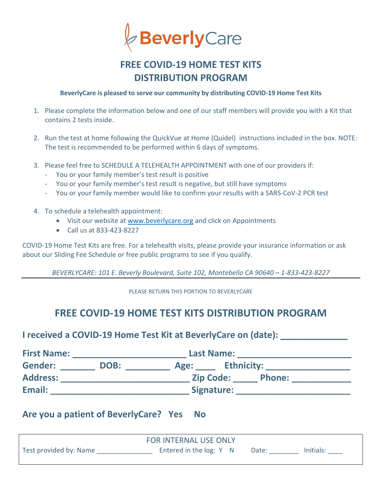

# **FREE COVID-19 HOME TEST KITS DISTRIBUTION PROGRAM**

**BeverlyCare is pleased to serve our community by distributing COVID-19 Home Test Kits** 

- 1. Please complete the information below and one of our staff members will provide you with a Kit that contains 2 tests inside.
- 2. Run the test at home following the QuickVue at Home (Quidel) instructions included in the box. NOTE: The test is recommended to be performed within 6 days of symptoms.
- 3. Please feel free to SCHEDULE A TELEHEALTH APPOINTMENT with one of our providers if:
	- You or your family member's test result is positive
	- You or your family member's test result is negative, but still have symptoms
	- You or your family member would like to confirm your results with a SARS-CoV-2 PCR test
- 4. To schedule a telehealth appointment:
	- Visit our website at [www.beverlycare.org](http://www.beverlycare.org/) and click on Appointments
	- Call us at 833-423-8227

COVID-19 Home Test Kits are free. For a telehealth visits, please provide your insurance information or ask about our Sliding Fee Schedule or free public programs to see if you qualify.

*BEVERLYCARE: 101 E. Beverly Boulevard, Suite 102, Montebello CA 90640 – 1-833-423-8227*

PLEASE RETURN THIS PORTION TO BEVERLYCARE

## **FREE COVID-19 HOME TEST KITS DISTRIBUTION PROGRAM**

**I received a COVID-19 Home Test Kit at BeverlyCare on (date): \_\_\_\_\_\_\_\_\_\_\_\_**

| <b>First Name:</b> |      | <b>Last Name:</b>                 |  |  |  |  |
|--------------------|------|-----------------------------------|--|--|--|--|
| <b>Gender:</b>     | DOB: | <b>Ethnicity:</b><br>Age:         |  |  |  |  |
| <b>Address:</b>    |      | <b>Zip Code:</b><br><b>Phone:</b> |  |  |  |  |
| Email:             |      | Signature:                        |  |  |  |  |

#### **Are you a patient of BeverlyCare? Yes No**

| <b>FOR INTERNAL USE ONLY</b> |                         |       |           |  |  |  |  |
|------------------------------|-------------------------|-------|-----------|--|--|--|--|
| Test provided by: Name       | Entered in the log: Y N | Date: | Initials: |  |  |  |  |